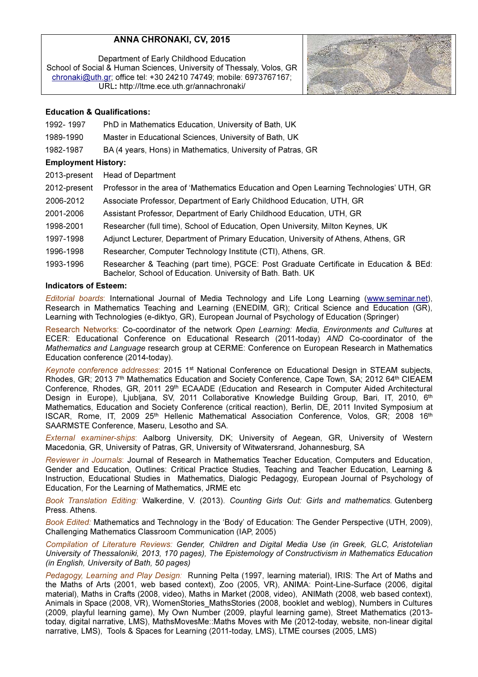# ANNA CHRONAKI, CV, 2015

Department of Early Childhood Education School of Social & Human Sciences, University of Thessaly, Volos, GR chronaki@uth.gr; office tel: +30 24210 74749; mobile: 6973767167; URL: http://ltme.ece.uth.gr/annachronaki/



# Education & Qualifications:

- 1992- 1997 PhD in Mathematics Education, University of Bath, UK
- 1989-1990 Master in Educational Sciences, University of Bath, UK
- 1982-1987 BA (4 years, Hons) in Mathematics, University of Patras, GR

### Employment History:

2013-present Head of Department 2012-present Professor in the area of 'Mathematics Education and Open Learning Technologies' UTH, GR 2006-2012 Associate Professor, Department of Early Childhood Education, UTH, GR 2001-2006 Assistant Professor, Department of Early Childhood Education, UTH, GR 1998-2001 Researcher (full time), School of Education, Open University, Milton Keynes, UK 1997-1998 Adjunct Lecturer, Department of Primary Education, University of Athens, Athens, GR 1996-1998 Researcher, Computer Technology Institute (CTI), Athens, GR. 1993-1996 Researcher & Teaching (part time), PGCE: Post Graduate Certificate in Education & BEd: Bachelor, School of Education. University of Bath. Bath. UK

## Indicators of Esteem:

Editorial boards: International Journal of Media Technology and Life Long Learning (www.seminar.net), Research in Mathematics Teaching and Learning (ENEDIM, GR); Critical Science and Education (GR), Learning with Technologies (e-diktyo, GR), European Journal of Psychology of Education (Springer)

Research Networks: Co-coordinator of the network Open Learning: Media, Environments and Cultures at ECER: Educational Conference on Educational Research (2011-today) AND Co-coordinator of the Mathematics and Language research group at CERME: Conference on European Research in Mathematics Education conference (2014-today).

Keynote conference addresses: 2015 1<sup>st</sup> National Conference on Educational Design in STEAM subjects. Rhodes, GR; 2013 7<sup>th</sup> Mathematics Education and Society Conference, Cape Town, SA; 2012 64<sup>th</sup> CIEAEM Conference, Rhodes, GR, 2011 29<sup>th</sup> ECAADE (Education and Research in Computer Aided Architectural Design in Europe), Ljubljana, SV, 2011 Collaborative Knowledge Building Group, Bari, IT, 2010, 6th Mathematics, Education and Society Conference (critical reaction), Berlin, DE, 2011 Invited Symposium at ISCAR, Rome, IT, 2009 25<sup>th</sup> Hellenic Mathematical Association Conference, Volos, GR; 2008 16<sup>th</sup> SAARMSTE Conference, Maseru, Lesotho and SA.

External examiner-ships: Aalborg University, DΚ; University of Aegean, GR, University of Western Macedonia, GR, University of Patras, GR, University of Witwatersrand, Johannesburg, SA

Reviewer in Journals: Journal of Research in Mathematics Teacher Education, Computers and Education, Gender and Education, Outlines: Critical Practice Studies, Teaching and Teacher Education, Learning & Instruction, Educational Studies in Mathematics, Dialogic Pedagogy, European Journal of Psychology of Education, For the Learning of Mathematics, JRME etc

Book Translation Editing: Walkerdine, V. (2013). Counting Girls Out: Girls and mathematics. Gutenberg Press. Athens.

Book Edited: Mathematics and Technology in the 'Body' of Education: The Gender Perspective (UTH, 2009), Challenging Mathematics Classroom Communication (IAP, 2005)

Compilation of Literature Reviews: Gender, Children and Digital Media Use (in Greek, GLC, Aristotelian University of Thessaloniki, 2013, 170 pages), The Epistemology of Constructivism in Mathematics Education (in English, University of Bath, 50 pages)

Pedagogy, Learning and Play Design: Running Pelta (1997, learning material), IRIS: The Art of Maths and the Maths of Arts (2001, web based context), Zoo (2005, VR), ANIMA: Point-Line-Surface (2006, digital material), Maths in Crafts (2008, video), Maths in Market (2008, video), ANIMath (2008, web based context), Animals in Space (2008, VR), WomenStories MathsStories (2008, booklet and weblog), Numbers in Cultures (2009, playful learning game), My Own Number (2009, playful learning game), Street Mathematics (2013 today, digital narrative, LMS), MathsMovesMe::Maths Moves with Me (2012-today, website, non-linear digital narrative, LMS), Tools & Spaces for Learning (2011-today, LMS), LTME courses (2005, LMS)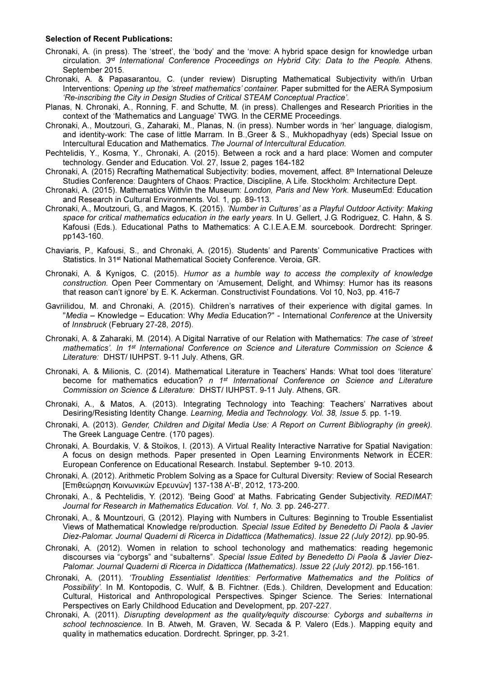#### Selection of Recent Publications:

- Chronaki, A. (in press). The 'street', the 'body' and the 'move: A hybrid space design for knowledge urban circulation. 3<sup>rd</sup> International Conference Proceedings on Hybrid City: Data to the People. Athens. September 2015.
- Chronaki, A. & Papasarantou, C. (under review) Disrupting Mathematical Subjectivity with/in Urban Interventions: Opening up the 'street mathematics' container. Paper submitted for the AERA Symposium 'Re-inscribing the City in Design Studies of Critical STEAM Conceptual Practice'.
- Planas, N. Chronaki, A., Ronning, F. and Schutte, M. (in press). Challenges and Research Priorities in the context of the 'Mathematics and Language' TWG. In the CERME Proceedings.
- Chronaki, A., Moutzouri, G., Zaharaki, M., Planas, N. (in press). Number words in 'her' language, dialogism, and identity-work: The case of little Marram. In B.,Greer & S., Mukhopadhyay (eds) Special Issue on Intercultural Education and Mathematics. The Journal of Intercultural Education.
- Pechtelidis, Y., Kosma, Y., Chronaki, A. (2015). Between a rock and a hard place: Women and computer technology. Gender and Education. Vol. 27, Issue 2, pages 164-182
- Chronaki, A. (2015) Recrafting Mathematical Subjectivity: bodies, movement, affect. 8th International Deleuze Studies Conference: Daughters of Chaos: Practice, Discipline, A Life. Stockholm: Architecture Dept.
- Chronaki, A. (2015). Mathematics With/in the Museum: London, Paris and New York. MuseumEd: Education and Research in Cultural Environments. Vol. 1, pp. 89-113.
- Chronaki, A., Moutzouri, G., and Magos, K. (2015). 'Number in Cultures' as a Playful Outdoor Activity: Making space for critical mathematics education in the early years. In U. Gellert, J.G. Rodriguez, C. Hahn, & S. Kafousi (Eds.). Educational Paths to Mathematics: A C.I.E.A.E.M. sourcebook. Dordrecht: Springer. pp143-160.
- Chaviaris, P., Kafousi, S., and Chronaki, A. (2015). Students' and Parents' Communicative Practices with Statistics. In 31<sup>st</sup> National Mathematical Society Conference. Veroia, GR.
- Chronaki, A. & Kynigos, C. (2015). Humor as a humble way to access the complexity of knowledge construction. Open Peer Commentary on 'Amusement, Delight, and Whimsy: Humor has its reasons that reason can't ignore' by E. K. Ackerman. Constructivist Foundations. Vol 10, No3, pp. 416-7
- Gavriilidou, M. and Chronaki, A. (2015). Children's narratives of their experience with digital games. In "Media – Knowledge – Education: Why Media Education?" - International Conference at the University of Innsbruck (February 27-28, 2015).
- Chronaki, A. & Zaharaki, M. (2014). A Digital Narrative of our Relation with Mathematics: The case of 'street mathematics'. In 1<sup>st</sup> International Conference on Science and Literature Commission on Science & Literature: DHST/ IUHPST. 9-11 July. Athens, GR.
- Chronaki, A. & Milionis, C. (2014). Mathematical Literature in Teachers' Hands: What tool does 'literature' become for mathematics education?  $n 1<sup>st</sup>$  International Conference on Science and Literature Commission on Science & Literature: DHST/ IUHPST. 9-11 July. Athens, GR.
- Chronaki, A., & Matos, A. (2013). Integrating Technology into Teaching: Τeachers' Narratives about Desiring/Resisting Identity Change. Learning, Media and Technology. Vol. 38, Issue 5. pp. 1-19.
- Chronaki, A. (2013). Gender, Children and Digital Media Use: A Report on Current Bibliography (in greek). Τhe Greek Language Centre. (170 pages).
- Chronaki, A. Bourdakis, V. & Stoikos, I. (2013). A Virtual Reality Interactive Narrative for Spatial Navigation: A focus on design methods. Paper presented in Open Learning Environments Network in ECER: European Conference on Educational Research. Instabul. September 9-10. 2013.
- Chronaki, A. (2012). Arithmetic Problem Solving as a Space for Cultural Diversity: Review of Social Research [Eπιθεώρηση Κοινωνικών Ερευνών] 137-138 Α'-Β', 2012, 173-200.
- Chronaki, A., & Pechtelidis, Y. (2012). 'Being Good' at Maths. Fabricating Gender Subjectivity. REDIMAT: Journal for Research in Mathematics Education. Vol. 1, No. 3. pp. 246-277.
- Chronaki, A., & Mountzouri, G. (2012). Playing with Numbers in Cultures: Beginning to Trouble Essentialist Views of Mathematical Knowledge re/production. Special Issue Edited by Benedetto Di Paola & Javier Diez-Palomar. Journal Quaderni di Ricerca in Didatticca (Mathematics). Issue 22 (July 2012). pp.90-95.
- Chronaki, A. (2012). Women in relation to school techonology and mathematics: reading hegemonic discourses via "cyborgs" and "subalterns". Special Issue Edited by Benedetto Di Paola & Javier Diez-Palomar. Journal Quaderni di Ricerca in Didatticca (Mathematics). Issue 22 (July 2012). pp.156-161.
- Chronaki, A. (2011). 'Troubling Essentialist Identities: Performative Mathematics and the Politics of Possibility<sup>'</sup>. In M. Kontopodis, C. Wulf, & B. Fichtner. (Eds.). Children, Development and Education: Cultural, Historical and Anthropological Perspectives. Spinger Science. The Series: International Perspectives on Early Childhood Education and Development, pp. 207-227.
- Chronaki, A. (2011). Disrupting development as the quality/equity discourse: Cyborgs and subalterns in school technoscience. In B. Atweh, M. Graven, W. Secada & P. Valero (Eds.). Mapping equity and quality in mathematics education. Dordrecht. Springer, pp. 3-21.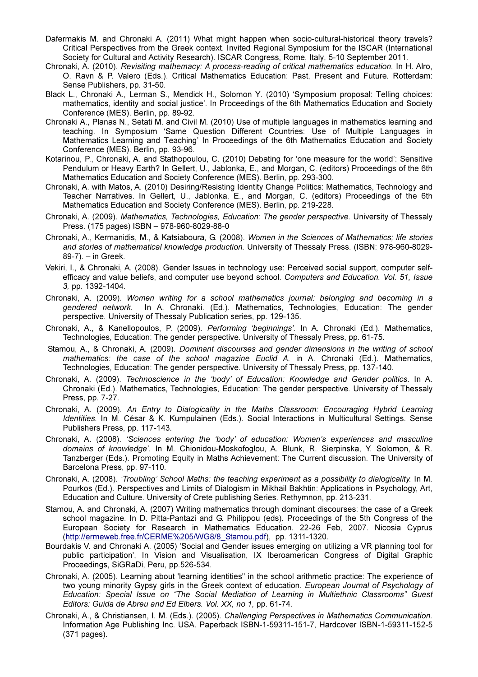- Dafermakis M. and Chronaki A. (2011) What might happen when socio-cultural-historical theory travels? Critical Perspectives from the Greek context. Invited Regional Symposium for the ISCAR (Ιnternational Society for Cultural and Activity Research). ISCAR Congress, Rome, Italy, 5-10 September 2011.
- Chronaki, A. (2010). Revisiting mathemacy: A process-reading of critical mathematics education. In H. Alro, O. Ravn & P. Valero (Eds.). Critical Mathematics Education: Past, Present and Future. Rotterdam: Sense Publishers, pp. 31-50.
- Black L., Chronaki A., Lerman S., Mendick H., Solomon Y. (2010) 'Symposium proposal: Telling choices: mathematics, identity and social justice'. In Proceedings of the 6th Mathematics Education and Society Conference (MES). Berlin, pp. 89-92.
- Chronaki A., Planas N., Setati M. and Civil M. (2010) Use of multiple languages in mathematics learning and teaching. In Symposium 'Same Question Different Countries: Use of Multiple Languages in Mathematics Learning and Teaching' In Proceedings of the 6th Mathematics Education and Society Conference (MES). Berlin, pp. 93-96.
- Kotarinou, P., Chronaki, A. and Stathopoulou, C. (2010) Debating for 'one measure for the world': Sensitive Pendulum or Heavy Earth? In Gellert, U., Jablonka, E., and Morgan, C. (editors) Proceedings of the 6th Mathematics Education and Society Conference (MES). Berlin, pp. 293-300.
- Chronaki, A. with Matos, A. (2010) Desiring/Resisting Identity Change Politics: Mathematics, Technology and Teacher Narratives. In Gellert, U., Jablonka, E., and Morgan, C. (editors) Proceedings of the 6th Mathematics Education and Society Conference (MES). Berlin, pp. 219-228.
- Chronaki, A. (2009). Mathematics, Technologies, Education: The gender perspective. University of Thessaly Press. (175 pages) ISBN – 978-960-8029-88-0
- Chronaki, Α., Kermanidis, M., & Katsiaboura, G. (2008). Women in the Sciences of Mathematics; life stories and stories of mathematical knowledge production. University of Thessaly Press. (ΙSBN: 978-960-8029- 89-7). – in Greek.
- Vekiri, I., & Chronaki, A. (2008). Gender Issues in technology use: Perceived social support, computer selfefficacy and value beliefs, and computer use beyond school. Computers and Education. Vol. 51, Issue 3, pp. 1392-1404.
- Chronaki, A. (2009). Women writing for a school mathematics journal: belonging and becoming in a gendered network. In A. Chronaki. (Ed.). Mathematics, Technologies, Education: The gender perspective. University of Thessaly Publication series, pp. 129-135.
- Chronaki, A., & Kanellopoulos, P. (2009). Performing 'beginnings'. In A. Chronaki (Ed.). Mathematics, Technologies, Education: The gender perspective. University of Thessaly Press, pp. 61-75.
- Stamou, A., & Chronaki, A. (2009). Dominant discourses and gender dimensions in the writing of school mathematics: the case of the school magazine Euclid A. in A. Chronaki (Ed.). Mathematics, Technologies, Education: The gender perspective. University of Thessaly Press, pp. 137-140.
- Chronaki, A. (2009). Technoscience in the 'body' of Education: Knowledge and Gender politics. In A. Chronaki (Ed.). Mathematics, Technologies, Education: The gender perspective. University of Thessaly Press, pp. 7-27.
- Chronaki, A. (2009). An Entry to Dialogicality in the Maths Classroom: Encouraging Hybrid Learning Identities. In M. César & K. Kumpulainen (Eds.). Social Interactions in Multicultural Settings. Sense Publishers Press, pp. 117-143.
- Chronaki, Α. (2008). 'Sciences entering the 'body' of education: Women's experiences and masculine domains of knowledge'. In M. Chionidou-Moskofoglou, A. Blunk, R. Sierpinska, Y. Solomon, & R. Tanzberger (Eds.). Promoting Equity in Maths Achievement: The Current discussion. The University of Barcelona Press, pp. 97-110.
- Chronaki, A. (2008). 'Troubling' School Maths: the teaching experiment as a possibility to dialogicality. In M. Pourkos (Ed.). Perspectives and Limits of Dialogism in Mikhail Bakhtin: Applications in Psychology, Art, Education and Culture. University of Crete publishing Series. Rethymnon, pp. 213-231.
- Stamou, A. and Chronaki, A. (2007) Writing mathematics through dominant discourses: the case of a Greek school magazine. In D. Pitta-Pantazi and G. Philippou (eds). Proceedings of the 5th Congress of the European Society for Research in Mathematics Education. 22-26 Feb, 2007. Nicosia Cyprus (http://ermeweb.free.fr/CERME%205/WG8/8\_Stamou.pdf), pp. 1311-1320.
- Bourdakis V. and Chronaki A. (2005) 'Social and Gender issues emerging on utilizing a VR planning tool for public participation', In Vision and Visualisation, IX Iberoamerican Congress of Digital Graphic Proceedings, SiGRaDi, Peru, pp.526-534.
- Chronaki, A. (2005). Learning about 'learning identities" in the school arithmetic practice: The experience of two young minority Gypsy girls in the Greek context of education. European Journal of Psychology of Education: Special Issue on "The Social Mediation of Learning in Multiethnic Classrooms" Guest Editors: Guida de Abreu and Ed Elbers. Vol. XX, no 1, pp. 61-74.
- Chronaki, A., & Christiansen, I. M. (Eds.). (2005). Challenging Perspectives in Mathematics Communication. Information Age Publishing Inc. USA. Paperback ΙSBN-1-59311-151-7, Hardcover ΙSBN-1-59311-152-5 (371 pages).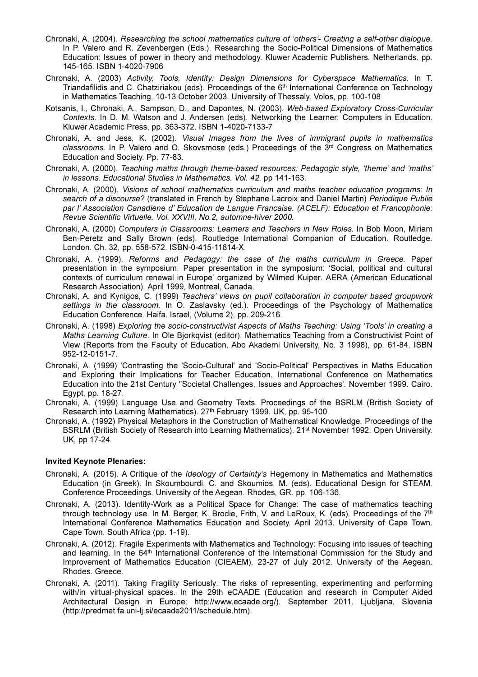- Chronaki, A. (2004). Researching the school mathematics culture of 'others'- Creating a self-other dialogue. In P. Valero and R. Zevenbergen (Eds.). Researching the Socio-Political Dimensions of Mathematics Education: Issues of power in theory and methodology. Kluwer Academic Publishers. Netherlands. pp. 145-165. ΙSBN 1-4020-7906
- Chronaki, A. (2003) Activity, Tools, Identity: Design Dimensions for Cyberspace Mathematics. In T. Triandafilidis and C. Chatziriakou (eds). Proceedings of the 6th International Conference on Technology in Mathematics Teaching. 10-13 October 2003. University of Thessaly. Volos, pp. 100-108
- Kotsanis, I., Chronaki, A., Sampson, D., and Dapontes, N. (2003). Web-based Exploratory Cross-Curricular Contexts. In D. M. Watson and J. Andersen (eds). Networking the Learner: Computers in Education. Kluwer Academic Press, pp. 363-372. ΙSBN 1-4020-7133-7
- Chronaki, A. and Jess, K. (2002). Visual Images from the lives of immigrant pupils in mathematics classrooms. In P. Valero and O. Skovsmose (eds.) Proceedings of the 3rd Congress on Mathematics Education and Society. Pp. 77-83.
- Chronaki, A. (2000). Teaching maths through theme-based resources: Pedagogic style, 'theme' and 'maths' in lessons. Educational Studies in Mathematics. Vol. 42. pp 141-163.
- Chronaki, A. (2000). Visions of school mathematics curriculum and maths teacher education programs: In search of a discourse? (translated in French by Stephane Lacroix and Daniel Martin) Periodique Publie par l' Association Canadiene d' Education de Langue Francaise. (ACELF): Education et Francophonie: Revue Scientific Virtuelle. Vol. XXVIII, No.2, automne-hiver 2000.
- Chronaki, A. (2000) Computers in Classrooms: Learners and Teachers in New Roles. In Bob Moon, Miriam Ben-Peretz and Sally Brown (eds). Routledge International Companion of Education. Routledge. London. Ch. 32, pp. 558-572. ISBN-0-415-11814-X.
- Chronaki, A. (1999). Reforms and Pedagogy: the case of the maths curriculum in Greece. Paper presentation in the symposium: Paper presentation in the symposium: 'Social, political and cultural contexts of curriculum renewal in Europe' organized by Wilmed Kuiper. AERA (American Educational Research Association). April 1999, Montreal, Canada.
- Chronaki, A. and Kynigos, C. (1999) Teachers' views on pupil collaboration in computer based groupwork settings in the classroom. In O. Zaslavsky (ed.). Proceedings of the Psychology of Mathematics Education Conference. Haifa. Israel, (Volume 2), pp. 209-216.
- Chronaki, A. (1998) Exploring the socio-constructivist Aspects of Maths Teaching: Using 'Tools' in creating a Maths Learning Culture. In Ole Bjorkqvist (editor), Mathematics Teaching from a Constructivist Point of View (Reports from the Faculty of Education, Abo Akademi University, No. 3 1998), pp. 61-84. ISBN 952-12-0151-7.
- Chronaki, A. (1999) 'Contrasting the 'Socio-Cultural' and 'Socio-Political' Perspectives in Maths Education and Exploring their Implications for Teacher Education. International Conference on Mathematics Education into the 21st Century "Societal Challenges, Issues and Approaches'. November 1999. Cairo. Egypt, pp. 18-27.
- Chronaki, A. (1999) Language Use and Geometry Texts. Proceedings of the BSRLM (British Society of Research into Learning Mathematics). 27th February 1999. UK, pp. 95-100.
- Chronaki, A. (1992) Physical Metaphors in the Construction of Mathematical Knowledge. Proceedings of the BSRLM (British Society of Research into Learning Mathematics). 21st November 1992. Open University. UK, pp 17-24.

# Invited Keynote Plenaries:

- Chronaki, A. (2015). A Critique of the Ideology of Certainty's Hegemony in Mathematics and Mathematics Education (in Greek). In Skoumbourdi, C. and Skoumios, M. (eds). Educational Design for STEAM. Conference Proceedings. University of the Aegean. Rhodes, GR. pp. 106-136.
- Chronaki, A. (2013). Identity-Work as a Political Space for Change: The case of mathematics teaching through technology use. In M. Berger, K. Brodie, Frith, V. and LeRoux, K. (eds). Proceedings of the 7<sup>th</sup> International Conference Mathematics Education and Society. April 2013. University of Cape Town. Cape Town. South Africa (pp. 1-19).
- Chronaki, A. (2012). Fragile Experiments with Mathematics and Technology: Focusing into issues of teaching and learning. In the 64<sup>th</sup> International Conference of the International Commission for the Study and Improvement of Mathematics Education (CIEAEM). 23-27 of July 2012. University of the Aegean. Rhodes. Greece.
- Chronaki, A. (2011). Taking Fragility Seriously: The risks of representing, experimenting and performing with/in virtual-physical spaces. In the 29th eCAADE (Education and research in Computer Aided Architectural Design in Europe: http://www.ecaade.org/). September 2011. Ljubljana, Slovenia (http://predmet.fa.uni-lj.si/ecaade2011/schedule.htm).